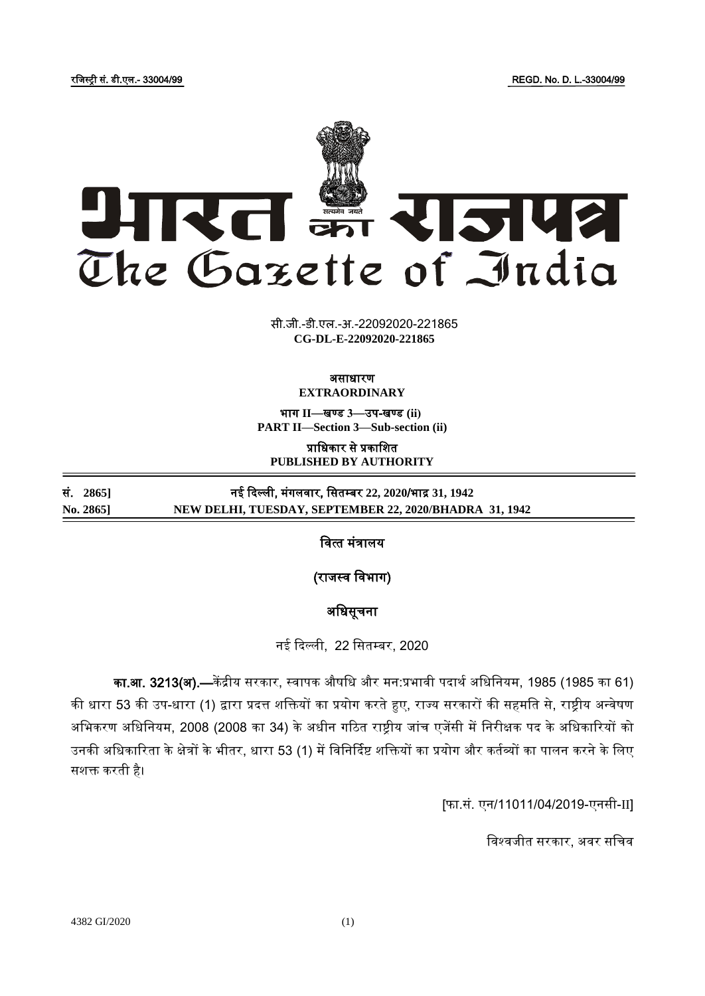रजिस्ट्री सं. डी.एल.- 33004/99 REGD. No. D. L.-33004/99



**xxxGIDHxxx xxxGIDExxx CG-DL-E-22092020-221865**सी.जी.-डी.एल.-अ.-22092020-221865

## असाधारण **EXTRAORDINARY**

भाग **II**—खण् ड **3**—उप-खण् ड **(ii) PART II—Section 3—Sub-section (ii)**

प्राजधकार से प्रकाजित **PUBLISHED BY AUTHORITY**

सं. **2865]** नई दिल्ली, मंगलिार, जसतम् बर **22, 2020**/भाद्र **31, 1942 No. 2865] NEW DELHI, TUESDAY, SEPTEMBER 22, 2020/BHADRA 31, 1942**

वित्त मंत्रालय

(राजस्व विभाग)

# अजधसूचना

नई दिल्ली, 22 सितम्बर, 2020

का.आ. 3213(अ).—केंद्रीय सरकार, स्वापक औषधि और मन:प्रभावी पदार्थ अधिनियम, 1985 (1985 का 61) की धारा 53 की उप-धारा (1) द्वारा प्रदत्त शक्तियों का प्रयोग करते हुए, राज्य सरकारों की सहमति से, राष्ट्रीय अन्वेषण अभिकरण अधिनियम, 2008 (2008 का 34) के अधीन गठित राष्ट्रीय जांच एजेंसी में निरीक्षक पद के अधिकारियों को उनकी अधिकारिता के क्षेत्रों के भीतर, धारा 53 (1) में विनिर्दिष्ट शक्तियों का प्रयोग और कर्तव्यों का पालन करने के लिए सशक्त करती है।

[फा.सं. एन/11011/04/2019-एनसी-II]

विश्वजीत सरकार, अवर सचिव